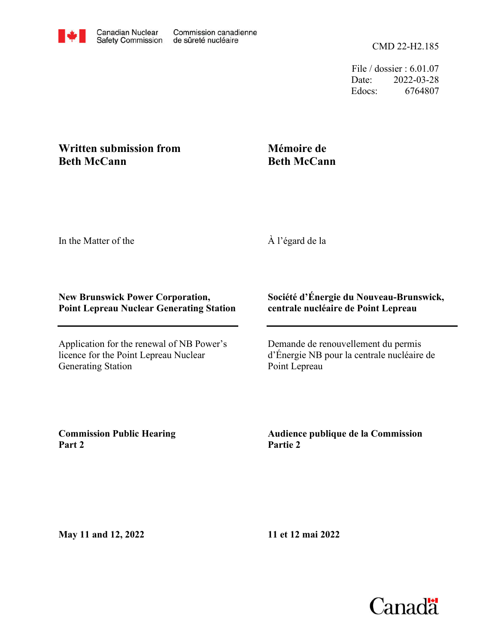File / dossier : 6.01.07 Date: 2022-03-28 Edocs: 6764807

## **Written submission from Beth McCann**

## **Mémoire de Beth McCann**

In the Matter of the

À l'égard de la

## **New Brunswick Power Corporation, Point Lepreau Nuclear Generating Station**

Application for the renewal of NB Power's licence for the Point Lepreau Nuclear Generating Station

## **Société d'Énergie du Nouveau-Brunswick, centrale nucléaire de Point Lepreau**

Demande de renouvellement du permis d'Énergie NB pour la centrale nucléaire de Point Lepreau

**Commission Public Hearing Part 2**

**Audience publique de la Commission Partie 2**

**May 11 and 12, 2022**

**11 et 12 mai 2022**